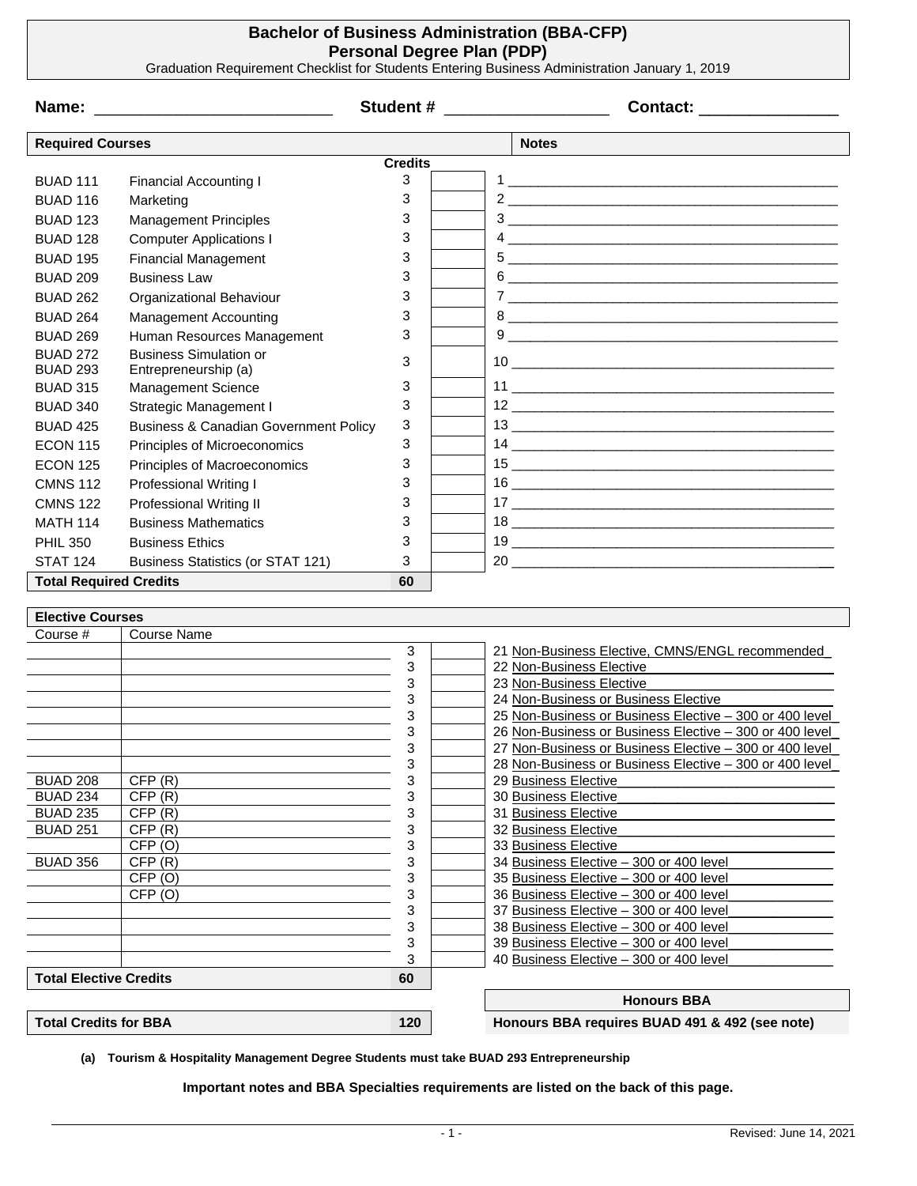## **Bachelor of Business Administration (BBA-CFP) Personal Degree Plan (PDP)**

Graduation Requirement Checklist for Students Entering Business Administration January 1, 2019

| Name:                               |                                                  | Student # 2007 and 2008 and 2008 and 2008 and 2008 and 2008 and 2008 and 2008 and 2008 and 2008 and 2008 and 20 |  | Contact: ______________                                                                                                                                                                                                                                                                                                                                                                                     |
|-------------------------------------|--------------------------------------------------|-----------------------------------------------------------------------------------------------------------------|--|-------------------------------------------------------------------------------------------------------------------------------------------------------------------------------------------------------------------------------------------------------------------------------------------------------------------------------------------------------------------------------------------------------------|
| <b>Required Courses</b>             |                                                  |                                                                                                                 |  | <b>Notes</b>                                                                                                                                                                                                                                                                                                                                                                                                |
|                                     |                                                  | <b>Credits</b>                                                                                                  |  |                                                                                                                                                                                                                                                                                                                                                                                                             |
| <b>BUAD 111</b>                     | <b>Financial Accounting I</b>                    | 3                                                                                                               |  |                                                                                                                                                                                                                                                                                                                                                                                                             |
| <b>BUAD 116</b>                     | Marketing                                        | 3                                                                                                               |  |                                                                                                                                                                                                                                                                                                                                                                                                             |
| <b>BUAD 123</b>                     | <b>Management Principles</b>                     | 3                                                                                                               |  | $\begin{array}{c c c c c} \hline \rule{0pt}{8ex} 3 & \hspace{-1.5cm} & \hspace{-1.5cm} & \hspace{-1.5cm} & \hspace{-1.5cm} & \hspace{-1.5cm} & \hspace{-1.5cm} & \hspace{-1.5cm} & \hspace{-1.5cm} & \hspace{-1.5cm} & \hspace{-1.5cm} & \hspace{-1.5cm} & \hspace{-1.5cm} & \hspace{-1.5cm} & \hspace{-1.5cm} & \hspace{-1.5cm} & \hspace{-1.5cm} & \hspace{-1.5cm} & \hspace{-1.5cm} & \hspace{-1.5cm} &$ |
| <b>BUAD 128</b>                     | <b>Computer Applications I</b>                   | 3                                                                                                               |  |                                                                                                                                                                                                                                                                                                                                                                                                             |
| <b>BUAD 195</b>                     | <b>Financial Management</b>                      | 3                                                                                                               |  |                                                                                                                                                                                                                                                                                                                                                                                                             |
| <b>BUAD 209</b>                     | <b>Business Law</b>                              | 3                                                                                                               |  |                                                                                                                                                                                                                                                                                                                                                                                                             |
| <b>BUAD 262</b>                     | Organizational Behaviour                         | 3                                                                                                               |  |                                                                                                                                                                                                                                                                                                                                                                                                             |
| <b>BUAD 264</b>                     | <b>Management Accounting</b>                     | 3                                                                                                               |  |                                                                                                                                                                                                                                                                                                                                                                                                             |
| <b>BUAD 269</b>                     | Human Resources Management                       | 3                                                                                                               |  | $9 \overline{ }$                                                                                                                                                                                                                                                                                                                                                                                            |
| <b>BUAD 272</b>                     | <b>Business Simulation or</b>                    |                                                                                                                 |  |                                                                                                                                                                                                                                                                                                                                                                                                             |
| <b>BUAD 293</b>                     | Entrepreneurship (a)                             | 3                                                                                                               |  |                                                                                                                                                                                                                                                                                                                                                                                                             |
| <b>BUAD 315</b>                     | Management Science                               | 3                                                                                                               |  |                                                                                                                                                                                                                                                                                                                                                                                                             |
| <b>BUAD 340</b>                     | Strategic Management I                           | 3                                                                                                               |  |                                                                                                                                                                                                                                                                                                                                                                                                             |
| <b>BUAD 425</b>                     | <b>Business &amp; Canadian Government Policy</b> | 3                                                                                                               |  |                                                                                                                                                                                                                                                                                                                                                                                                             |
| <b>ECON 115</b>                     | Principles of Microeconomics                     | 3                                                                                                               |  |                                                                                                                                                                                                                                                                                                                                                                                                             |
| <b>ECON 125</b>                     | Principles of Macroeconomics                     | 3                                                                                                               |  |                                                                                                                                                                                                                                                                                                                                                                                                             |
| <b>CMNS 112</b>                     | <b>Professional Writing I</b>                    | 3                                                                                                               |  |                                                                                                                                                                                                                                                                                                                                                                                                             |
| <b>CMNS 122</b>                     | <b>Professional Writing II</b>                   | 3                                                                                                               |  |                                                                                                                                                                                                                                                                                                                                                                                                             |
| <b>MATH 114</b>                     | <b>Business Mathematics</b>                      | 3                                                                                                               |  |                                                                                                                                                                                                                                                                                                                                                                                                             |
| <b>PHIL 350</b>                     | <b>Business Ethics</b>                           | 3                                                                                                               |  |                                                                                                                                                                                                                                                                                                                                                                                                             |
| <b>STAT 124</b>                     |                                                  | 3                                                                                                               |  |                                                                                                                                                                                                                                                                                                                                                                                                             |
| <b>Total Required Credits</b>       | <b>Business Statistics (or STAT 121)</b>         | 60                                                                                                              |  | 20                                                                                                                                                                                                                                                                                                                                                                                                          |
|                                     |                                                  |                                                                                                                 |  |                                                                                                                                                                                                                                                                                                                                                                                                             |
| <b>Elective Courses</b>             |                                                  |                                                                                                                 |  |                                                                                                                                                                                                                                                                                                                                                                                                             |
| Course #                            | <b>Course Name</b>                               |                                                                                                                 |  |                                                                                                                                                                                                                                                                                                                                                                                                             |
|                                     |                                                  | 3                                                                                                               |  | 21 Non-Business Elective, CMNS/ENGL recommended                                                                                                                                                                                                                                                                                                                                                             |
|                                     |                                                  | 3                                                                                                               |  | 22 Non-Business Elective                                                                                                                                                                                                                                                                                                                                                                                    |
|                                     |                                                  | 3                                                                                                               |  | 23 Non-Business Elective                                                                                                                                                                                                                                                                                                                                                                                    |
|                                     |                                                  | 3<br>3                                                                                                          |  | 24 Non-Business or Business Elective<br>25 Non-Business or Business Elective - 300 or 400 level                                                                                                                                                                                                                                                                                                             |
|                                     |                                                  | 3                                                                                                               |  | 26 Non-Business or Business Elective - 300 or 400 level                                                                                                                                                                                                                                                                                                                                                     |
|                                     |                                                  | 3                                                                                                               |  | 27 Non-Business or Business Elective - 300 or 400 level                                                                                                                                                                                                                                                                                                                                                     |
|                                     |                                                  | 3                                                                                                               |  | 28 Non-Business or Business Elective - 300 or 400 level                                                                                                                                                                                                                                                                                                                                                     |
| <b>BUAD 208</b>                     | CFP(R)                                           | 3                                                                                                               |  | 29 Business Elective                                                                                                                                                                                                                                                                                                                                                                                        |
| <b>BUAD 234</b>                     | CFP(R)                                           | 3                                                                                                               |  | 30 Business Elective                                                                                                                                                                                                                                                                                                                                                                                        |
| <b>BUAD 235</b>                     | CFP(R)                                           | 3                                                                                                               |  | 31 Business Elective                                                                                                                                                                                                                                                                                                                                                                                        |
| <b>BUAD 251</b>                     | CFP(R)                                           | 3                                                                                                               |  | 32 Business Elective                                                                                                                                                                                                                                                                                                                                                                                        |
| <b>BUAD 356</b>                     | CFP <sub>(O)</sub><br>CFP(R)                     | 3<br>3                                                                                                          |  | 33 Business Elective<br>34 Business Elective - 300 or 400 level                                                                                                                                                                                                                                                                                                                                             |
|                                     | CFP(0)                                           | 3                                                                                                               |  | 35 Business Elective - 300 or 400 level                                                                                                                                                                                                                                                                                                                                                                     |
|                                     | CFP <sub>(O)</sub>                               | 3                                                                                                               |  | 36 Business Elective - 300 or 400 level                                                                                                                                                                                                                                                                                                                                                                     |
|                                     |                                                  | 3                                                                                                               |  | 37 Business Elective - 300 or 400 level                                                                                                                                                                                                                                                                                                                                                                     |
|                                     |                                                  | 3                                                                                                               |  | 38 Business Elective - 300 or 400 level                                                                                                                                                                                                                                                                                                                                                                     |
|                                     |                                                  | 3                                                                                                               |  | 39 Business Elective - 300 or 400 level                                                                                                                                                                                                                                                                                                                                                                     |
|                                     |                                                  | 3                                                                                                               |  | 40 Business Elective - 300 or 400 level                                                                                                                                                                                                                                                                                                                                                                     |
| <b>Total Elective Credits</b><br>60 |                                                  |                                                                                                                 |  |                                                                                                                                                                                                                                                                                                                                                                                                             |
|                                     |                                                  |                                                                                                                 |  | <b>Honours BBA</b>                                                                                                                                                                                                                                                                                                                                                                                          |
| <b>Total Credits for BBA</b>        |                                                  | 120                                                                                                             |  | Honours BBA requires BUAD 491 & 492 (see note)                                                                                                                                                                                                                                                                                                                                                              |

**(a) Tourism & Hospitality Management Degree Students must take BUAD 293 Entrepreneurship**

**Important notes and BBA Specialties requirements are listed on the back of this page.**